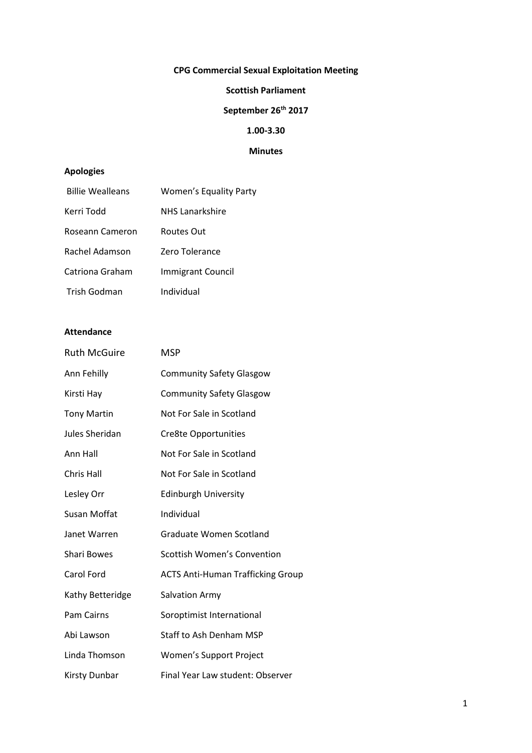# **CPG Commercial Sexual Exploitation Meeting**

### **Scottish Parliament**

# **September 26th 2017**

## **1.00-3.30**

### **Minutes**

## **Apologies**

| <b>Billie Wealleans</b> | <b>Women's Equality Party</b> |
|-------------------------|-------------------------------|
| Kerri Todd              | <b>NHS</b> Lanarkshire        |
| Roseann Cameron         | Routes Out                    |
| Rachel Adamson          | Zero Tolerance                |
| Catriona Graham         | <b>Immigrant Council</b>      |
| Trish Godman            | Individual                    |

### **Attendance**

| <b>Ruth McGuire</b> | <b>MSP</b>                               |
|---------------------|------------------------------------------|
| Ann Fehilly         | <b>Community Safety Glasgow</b>          |
| Kirsti Hay          | <b>Community Safety Glasgow</b>          |
| <b>Tony Martin</b>  | Not For Sale in Scotland                 |
| Jules Sheridan      | Cre8te Opportunities                     |
| Ann Hall            | Not For Sale in Scotland                 |
| Chris Hall          | Not For Sale in Scotland                 |
| Lesley Orr          | <b>Edinburgh University</b>              |
| Susan Moffat        | Individual                               |
| Janet Warren        | Graduate Women Scotland                  |
| <b>Shari Bowes</b>  | <b>Scottish Women's Convention</b>       |
| Carol Ford          | <b>ACTS Anti-Human Trafficking Group</b> |
| Kathy Betteridge    | <b>Salvation Army</b>                    |
| Pam Cairns          | Soroptimist International                |
| Abi Lawson          | <b>Staff to Ash Denham MSP</b>           |
| Linda Thomson       | Women's Support Project                  |
| Kirsty Dunbar       | Final Year Law student: Observer         |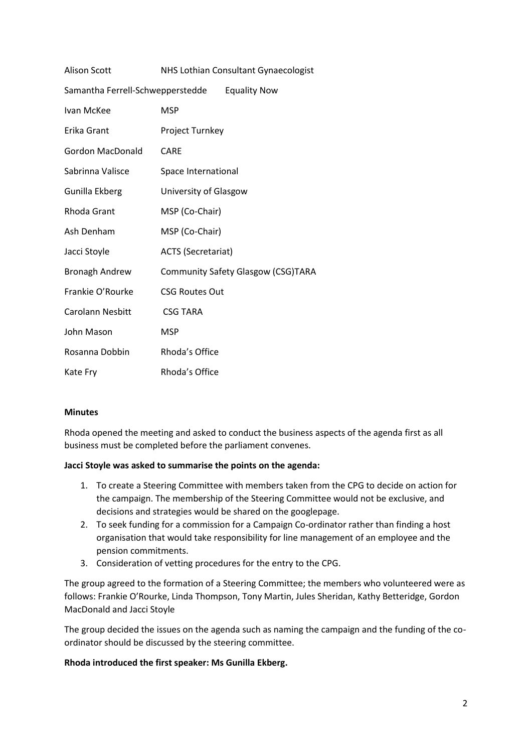| <b>Alison Scott</b>              | NHS Lothian Consultant Gynaecologist |
|----------------------------------|--------------------------------------|
| Samantha Ferrell-Schwepperstedde | <b>Equality Now</b>                  |
| Ivan McKee                       | <b>MSP</b>                           |
| Erika Grant                      | Project Turnkey                      |
| <b>Gordon MacDonald</b>          | CARE                                 |
| Sabrinna Valisce                 | Space International                  |
| Gunilla Ekberg                   | University of Glasgow                |
| Rhoda Grant                      | MSP (Co-Chair)                       |
| Ash Denham                       | MSP (Co-Chair)                       |
| Jacci Stoyle                     | <b>ACTS (Secretariat)</b>            |
| <b>Bronagh Andrew</b>            | Community Safety Glasgow (CSG)TARA   |
| Frankie O'Rourke                 | <b>CSG Routes Out</b>                |
| <b>Carolann Nesbitt</b>          | <b>CSG TARA</b>                      |
| John Mason                       | <b>MSP</b>                           |
| Rosanna Dobbin                   | Rhoda's Office                       |
| Kate Fry                         | Rhoda's Office                       |

## **Minutes**

Rhoda opened the meeting and asked to conduct the business aspects of the agenda first as all business must be completed before the parliament convenes.

#### **Jacci Stoyle was asked to summarise the points on the agenda:**

- 1. To create a Steering Committee with members taken from the CPG to decide on action for the campaign. The membership of the Steering Committee would not be exclusive, and decisions and strategies would be shared on the googlepage.
- 2. To seek funding for a commission for a Campaign Co-ordinator rather than finding a host organisation that would take responsibility for line management of an employee and the pension commitments.
- 3. Consideration of vetting procedures for the entry to the CPG.

The group agreed to the formation of a Steering Committee; the members who volunteered were as follows: Frankie O'Rourke, Linda Thompson, Tony Martin, Jules Sheridan, Kathy Betteridge, Gordon MacDonald and Jacci Stoyle

The group decided the issues on the agenda such as naming the campaign and the funding of the coordinator should be discussed by the steering committee.

#### **Rhoda introduced the first speaker: Ms Gunilla Ekberg.**